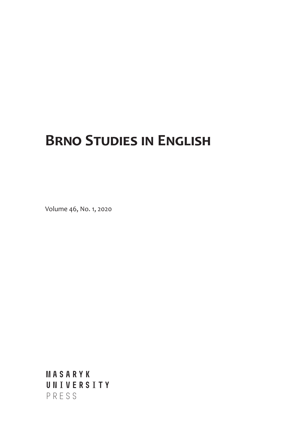## **Brno Studies in English**

Volume 46, No. 1, 2020

**MASARYK UNIVERSITY** PRESS